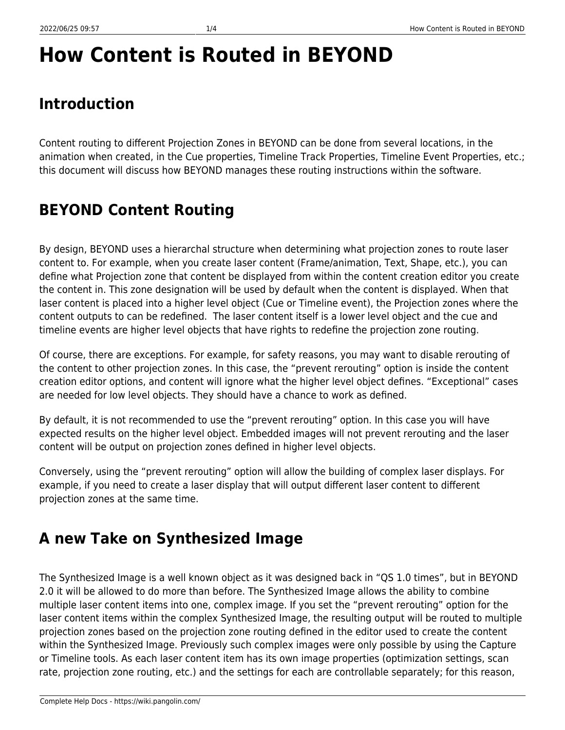# **How Content is Routed in BEYOND**

# **Introduction**

Content routing to different Projection Zones in BEYOND can be done from several locations, in the animation when created, in the Cue properties, Timeline Track Properties, Timeline Event Properties, etc.; this document will discuss how BEYOND manages these routing instructions within the software.

## **BEYOND Content Routing**

By design, BEYOND uses a hierarchal structure when determining what projection zones to route laser content to. For example, when you create laser content (Frame/animation, Text, Shape, etc.), you can define what Projection zone that content be displayed from within the content creation editor you create the content in. This zone designation will be used by default when the content is displayed. When that laser content is placed into a higher level object (Cue or Timeline event), the Projection zones where the content outputs to can be redefined. The laser content itself is a lower level object and the cue and timeline events are higher level objects that have rights to redefine the projection zone routing.

Of course, there are exceptions. For example, for safety reasons, you may want to disable rerouting of the content to other projection zones. In this case, the "prevent rerouting" option is inside the content creation editor options, and content will ignore what the higher level object defines. "Exceptional" cases are needed for low level objects. They should have a chance to work as defined.

By default, it is not recommended to use the "prevent rerouting" option. In this case you will have expected results on the higher level object. Embedded images will not prevent rerouting and the laser content will be output on projection zones defined in higher level objects.

Conversely, using the "prevent rerouting" option will allow the building of complex laser displays. For example, if you need to create a laser display that will output different laser content to different projection zones at the same time.

### **A new Take on Synthesized Image**

The Synthesized Image is a well known object as it was designed back in "QS 1.0 times", but in BEYOND 2.0 it will be allowed to do more than before. The Synthesized Image allows the ability to combine multiple laser content items into one, complex image. If you set the "prevent rerouting" option for the laser content items within the complex Synthesized Image, the resulting output will be routed to multiple projection zones based on the projection zone routing defined in the editor used to create the content within the Synthesized Image. Previously such complex images were only possible by using the Capture or Timeline tools. As each laser content item has its own image properties (optimization settings, scan rate, projection zone routing, etc.) and the settings for each are controllable separately; for this reason,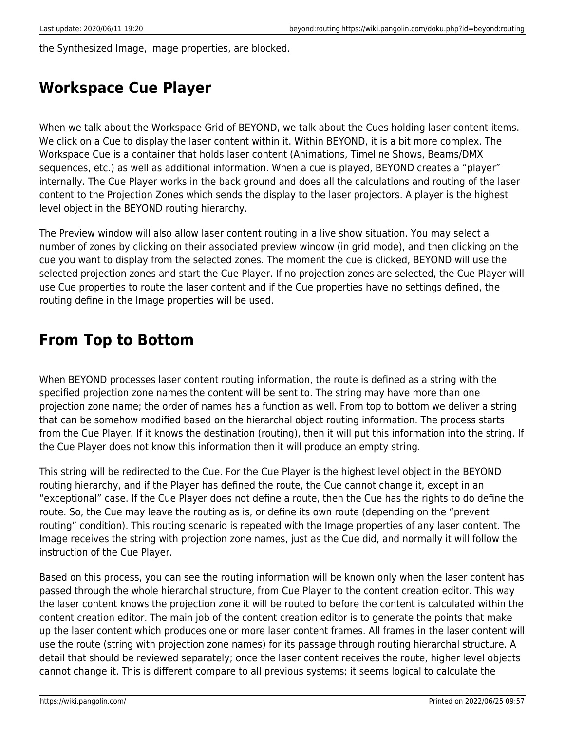the Synthesized Image, image properties, are blocked.

### **Workspace Cue Player**

When we talk about the Workspace Grid of BEYOND, we talk about the Cues holding laser content items. We click on a Cue to display the laser content within it. Within BEYOND, it is a bit more complex. The Workspace Cue is a container that holds laser content (Animations, Timeline Shows, Beams/DMX sequences, etc.) as well as additional information. When a cue is played, BEYOND creates a "player" internally. The Cue Player works in the back ground and does all the calculations and routing of the laser content to the Projection Zones which sends the display to the laser projectors. A player is the highest level object in the BEYOND routing hierarchy.

The Preview window will also allow laser content routing in a live show situation. You may select a number of zones by clicking on their associated preview window (in grid mode), and then clicking on the cue you want to display from the selected zones. The moment the cue is clicked, BEYOND will use the selected projection zones and start the Cue Player. If no projection zones are selected, the Cue Player will use Cue properties to route the laser content and if the Cue properties have no settings defined, the routing define in the Image properties will be used.

#### **From Top to Bottom**

When BEYOND processes laser content routing information, the route is defined as a string with the specified projection zone names the content will be sent to. The string may have more than one projection zone name; the order of names has a function as well. From top to bottom we deliver a string that can be somehow modified based on the hierarchal object routing information. The process starts from the Cue Player. If it knows the destination (routing), then it will put this information into the string. If the Cue Player does not know this information then it will produce an empty string.

This string will be redirected to the Cue. For the Cue Player is the highest level object in the BEYOND routing hierarchy, and if the Player has defined the route, the Cue cannot change it, except in an "exceptional" case. If the Cue Player does not define a route, then the Cue has the rights to do define the route. So, the Cue may leave the routing as is, or define its own route (depending on the "prevent routing" condition). This routing scenario is repeated with the Image properties of any laser content. The Image receives the string with projection zone names, just as the Cue did, and normally it will follow the instruction of the Cue Player.

Based on this process, you can see the routing information will be known only when the laser content has passed through the whole hierarchal structure, from Cue Player to the content creation editor. This way the laser content knows the projection zone it will be routed to before the content is calculated within the content creation editor. The main job of the content creation editor is to generate the points that make up the laser content which produces one or more laser content frames. All frames in the laser content will use the route (string with projection zone names) for its passage through routing hierarchal structure. A detail that should be reviewed separately; once the laser content receives the route, higher level objects cannot change it. This is different compare to all previous systems; it seems logical to calculate the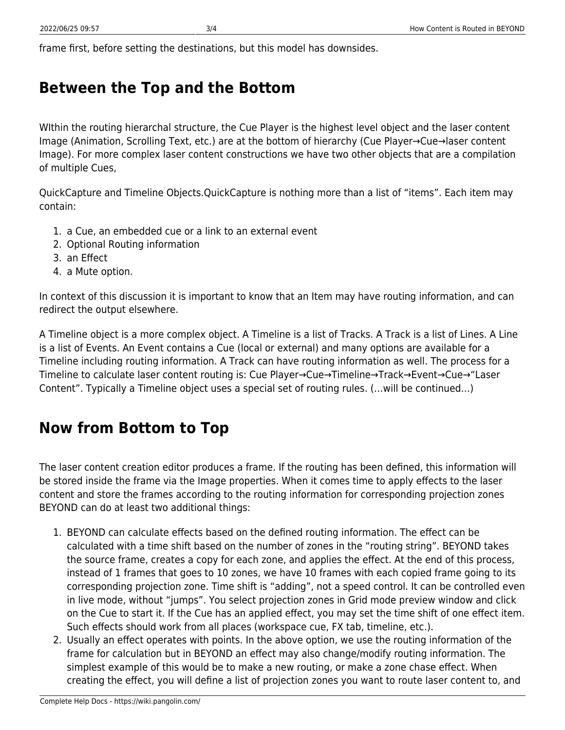frame first, before setting the destinations, but this model has downsides.

### **Between the Top and the Bottom**

WIthin the routing hierarchal structure, the Cue Player is the highest level object and the laser content Image (Animation, Scrolling Text, etc.) are at the bottom of hierarchy (Cue Player→Cue→laser content Image). For more complex laser content constructions we have two other objects that are a compilation of multiple Cues,

QuickCapture and Timeline Objects. QuickCapture is nothing more than a list of "items". Each item may contain:

- 1. a Cue, an embedded cue or a link to an external event
- 2. Optional Routing information
- 3. an Effect
- 4. a Mute option.

In context of this discussion it is important to know that an Item may have routing information, and can redirect the output elsewhere.

A Timeline object is a more complex object. A Timeline is a list of Tracks. A Track is a list of Lines. A Line is a list of Events. An Event contains a Cue (local or external) and many options are available for a Timeline including routing information. A Track can have routing information as well. The process for a Timeline to calculate laser content routing is: Cue Player→Cue→Timeline→Track→Event→Cue→"Laser Content". Typically a Timeline object uses a special set of routing rules. 
(…will be continued…)

### **Now from Bottom to Top**

The laser content creation editor produces a frame. If the routing has been defined, this information will be stored inside the frame via the Image properties. When it comes time to apply effects to the laser content and store the frames according to the routing information for corresponding projection zones BEYOND can do at least two additional things:

- 1. BEYOND can calculate effects based on the defined routing information. The effect can be calculated with a time shift based on the number of zones in the "routing string". BEYOND takes the source frame, creates a copy for each zone, and applies the effect. At the end of this process, instead of 1 frames that goes to 10 zones, we have 10 frames with each copied frame going to its corresponding projection zone. Time shift is "adding", not a speed control. It can be controlled even in live mode, without "jumps". You select projection zones in Grid mode preview window and click on the Cue to start it. If the Cue has an applied effect, you may set the time shift of one effect item. Such effects should work from all places (workspace cue, FX tab, timeline, etc.).
- 2. Usually an effect operates with points. In the above option, we use the routing information of the frame for calculation but in BEYOND an effect may also change/modify routing information. The simplest example of this would be to make a new routing, or make a zone chase effect. When creating the effect, you will define a list of projection zones you want to route laser content to, and